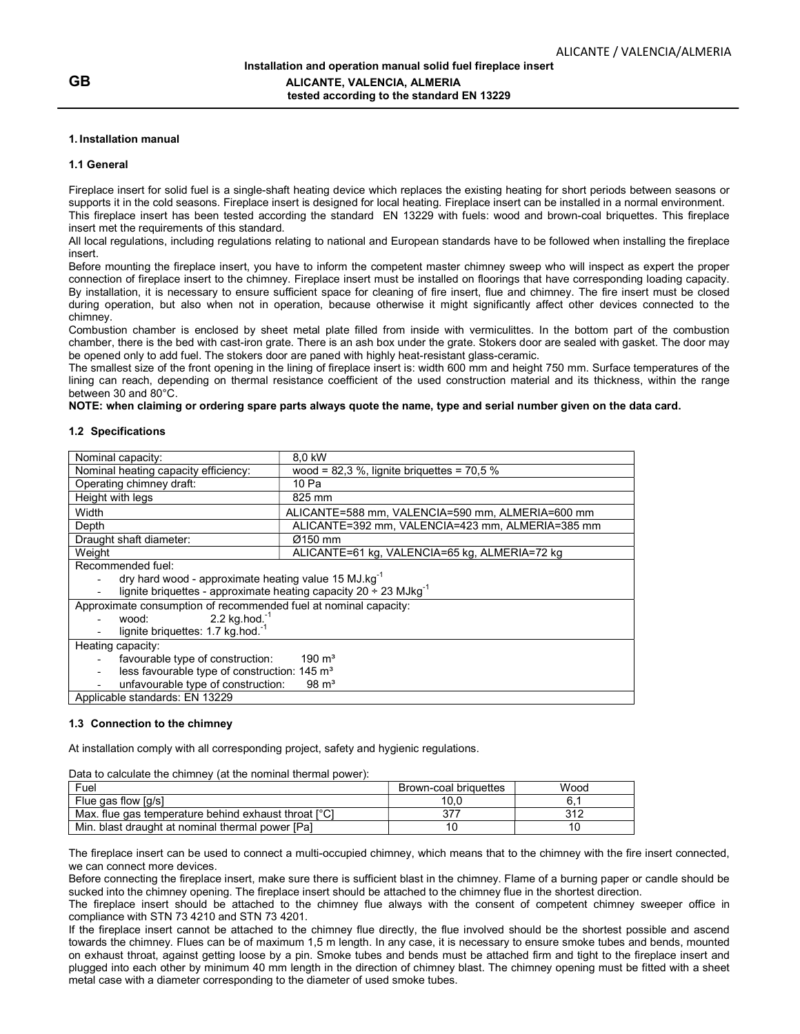#### 1. Installation manual

#### 1.1 General

Fireplace insert for solid fuel is a single-shaft heating device which replaces the existing heating for short periods between seasons or supports it in the cold seasons. Fireplace insert is designed for local heating. Fireplace insert can be installed in a normal environment. This fireplace insert has been tested according the standard EN 13229 with fuels: wood and brown-coal briquettes. This fireplace insert met the requirements of this standard.

All local regulations, including regulations relating to national and European standards have to be followed when installing the fireplace insert.

Before mounting the fireplace insert, you have to inform the competent master chimney sweep who will inspect as expert the proper connection of fireplace insert to the chimney. Fireplace insert must be installed on floorings that have corresponding loading capacity. By installation, it is necessary to ensure sufficient space for cleaning of fire insert, flue and chimney. The fire insert must be closed during operation, but also when not in operation, because otherwise it might significantly affect other devices connected to the chimney.

Combustion chamber is enclosed by sheet metal plate filled from inside with vermiculittes. In the bottom part of the combustion chamber, there is the bed with cast-iron grate. There is an ash box under the grate. Stokers door are sealed with gasket. The door may be opened only to add fuel. The stokers door are paned with highly heat-resistant glass-ceramic.

The smallest size of the front opening in the lining of fireplace insert is: width 600 mm and height 750 mm. Surface temperatures of the lining can reach, depending on thermal resistance coefficient of the used construction material and its thickness, within the range between 30 and 80°C.

NOTE: when claiming or ordering spare parts always quote the name, type and serial number given on the data card.

#### 1.2 Specifications

| Nominal capacity:                                                                 | 8.0 kW                                           |  |
|-----------------------------------------------------------------------------------|--------------------------------------------------|--|
| Nominal heating capacity efficiency:                                              | wood = $82,3$ %, lignite briquettes = $70,5$ %   |  |
| Operating chimney draft:                                                          | 10 Pa                                            |  |
| Height with legs                                                                  | 825 mm                                           |  |
| Width                                                                             | ALICANTE=588 mm, VALENCIA=590 mm, ALMERIA=600 mm |  |
| Depth                                                                             | ALICANTE=392 mm, VALENCIA=423 mm, ALMERIA=385 mm |  |
| Draught shaft diameter:                                                           | Ø150 mm                                          |  |
| Weight                                                                            | ALICANTE=61 kg, VALENCIA=65 kg, ALMERIA=72 kg    |  |
| Recommended fuel:                                                                 |                                                  |  |
| dry hard wood - approximate heating value 15 MJ.kg <sup>-1</sup>                  |                                                  |  |
| lignite briquettes - approximate heating capacity $20 \div 23$ MJkg <sup>-1</sup> |                                                  |  |
| Approximate consumption of recommended fuel at nominal capacity:                  |                                                  |  |
| 2.2 kg.hod. $^{-1}$<br>wood:                                                      |                                                  |  |
| lignite briquettes: 1.7 kg hod. <sup>1</sup>                                      |                                                  |  |
| Heating capacity:                                                                 |                                                  |  |
| $190 \text{ m}^3$<br>favourable type of construction:                             |                                                  |  |
| less favourable type of construction: 145 m <sup>3</sup>                          |                                                  |  |
| unfavourable type of construction:<br>$98 \text{ m}^3$                            |                                                  |  |
| Applicable standards: EN 13229                                                    |                                                  |  |

## 1.3 Connection to the chimney

At installation comply with all corresponding project, safety and hygienic regulations.

Data to calculate the chimney (at the nominal thermal power):

| Fuel                                                 | Brown-coal briquettes | Wood  |
|------------------------------------------------------|-----------------------|-------|
| Flue gas flow [g/s]                                  | 10.U                  | 6     |
| Max, flue gas temperature behind exhaust throat [°C] |                       | າ 4 2 |
| Min. blast draught at nominal thermal power [Pa]     |                       |       |

The fireplace insert can be used to connect a multi-occupied chimney, which means that to the chimney with the fire insert connected, we can connect more devices.

Before connecting the fireplace insert, make sure there is sufficient blast in the chimney. Flame of a burning paper or candle should be sucked into the chimney opening. The fireplace insert should be attached to the chimney flue in the shortest direction.

The fireplace insert should be attached to the chimney flue always with the consent of competent chimney sweeper office in compliance with STN 73 4210 and STN 73 4201.

If the fireplace insert cannot be attached to the chimney flue directly, the flue involved should be the shortest possible and ascend towards the chimney. Flues can be of maximum 1,5 m length. In any case, it is necessary to ensure smoke tubes and bends, mounted on exhaust throat, against getting loose by a pin. Smoke tubes and bends must be attached firm and tight to the fireplace insert and plugged into each other by minimum 40 mm length in the direction of chimney blast. The chimney opening must be fitted with a sheet metal case with a diameter corresponding to the diameter of used smoke tubes.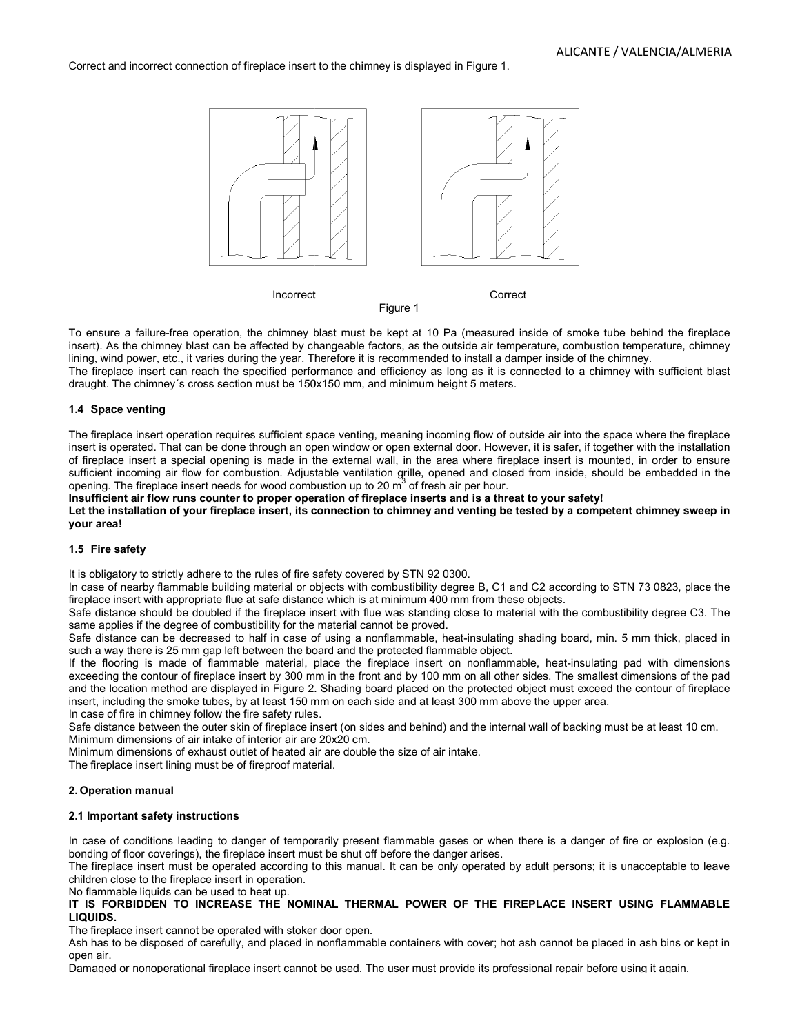Correct and incorrect connection of fireplace insert to the chimney is displayed in Figure 1.



Figure 1

To ensure a failure-free operation, the chimney blast must be kept at 10 Pa (measured inside of smoke tube behind the fireplace insert). As the chimney blast can be affected by changeable factors, as the outside air temperature, combustion temperature, chimney lining, wind power, etc., it varies during the year. Therefore it is recommended to install a damper inside of the chimney. To ensure a failure-free operation, the chimney blast must be kept at 10 Pa (measured inside of smoke tube behind the fireplace insert). As the chimney blast can be affected by changeable factors, as the outside air temper

The fireplace insert can reach the specified performance and efficiency as long as it is connected to a chimney with sufficient blast draught. The chimney´s cross section must be 150x150 mm, and minimum height 5 meters.

# 1.4 Space venting

The fireplace insert operation requires sufficient space venting, meaning incoming flow of outside air into the space where the fireplace insert is operated. That can be done through an open window or open external door. However, it is safer, if together with the installation of fireplace insert a special opening is made in the external wall, in the area where fireplace insert is mounted, in order to ensure of fireplace insert a special opening is made in the external wall, in the area where fireplace insert is mounted, in order to ensure<br>sufficient incoming air flow for combustion. Adjustable ventilation grille, opened and c opening. The fireplace insert needs for wood combustion up to 20  $\mathrm{m}^3$  of fresh air per hour. Ire a failure-free operation, the chimney blast must be kept at 10 Pa (measured inside of smoke tube behind the fireplace<br>As the chimney blast can be affected by changeable factors, as the outside air temperature, combusti

Insufficient air flow runs counter to proper operation of fireplace inserts and is a threat to your safety!

Insufficient air flow runs counter to proper operation of fireplace inserts and is a threat to your safety!<br>Let the installation of your fireplace insert, its connection to chimney and venting be tested by a competent chim your area!

# 1.5 Fire safety

It is obligatory to strictly adhere to the rules of fire safety covered by STN 92 0300.

In case of nearby flammable building material or objects with combustibility degree B, C1 and C2 according to STN 73 0823, pl fireplace insert with appropriate flue at safe distance which is at minimum 400 mm from these objects. In case of nearby flammable building material or objects with combustibility degree B, C1 and C2 according to STN 73 0823, place the

Safe distance should be doubled if the fireplace insert with flue was standing close to material with the combustibility degree C3. The same applies if the degree of combustibility for the material cannot be proved. strictly adhere to the rules of fire safety covered by STN 92 0300.<br>
if lammable building material or objects with combustibility degree B, C1 and C2 according to STN 73 0823, place the<br>
ith appropriate flue at safe distan

Safe distance can be decreased to half in case of using a nonflammable, heat-insulating shading board, mii such a way there is 25 mm gap left between the board and the protected flammable object. Safe distance should be doubled if the fireplace insert with flue was standing close to material with the combustibility degree C3. The same applies if the degree of combustibility for the material cannot be proved.<br>Safe d

such a way there is 25 mm gap left between the board and the protected flammable object.<br>If the flooring is made of flammable material, place the fireplace insert on nonflammable, heat-insulating pad with d exceeding the contour of fireplace insert by 300 mm in the front and by 100 mm on all other sides. The smallest dimensions of the pad and the location method are displayed in Figure 2. Shading board placed on the protected object must exceed the contour of fireplace insert, including the smoke tubes, by at least 150 mm on each side and at least 300 mm above the upper area. insert, including the smoke tubes, by at least 150 mm on each side and at least 300 mm above the upper area.<br>In case of fire in chimney follow the fire safety rules.<br>Safe distance between the outer skin of fireplace insert exceeding the contour of fireplace insert by 300 mm in the front and by 100 mm on all other sides. The smallest dimensions of the pad<br>and the location method are displayed in Figure 2. Shading board placed on the protected

In case of fire in chimney follow the fire safety rules.

Minimum dimensions of air intake of interior air are 20x20 cm.

Minimum dimensions of exhaust outlet of heated air are double the size of air intake.

The fireplace insert lining must be of fireproof material.

## 2. Operation manual

## 2.1 Important safety instructions

In case of conditions leading to danger of temporarily present flammable gases or when there is a danger of fire or explosion (e.g. bonding of floor coverings), the fireplace insert must be shut off before the danger arises. In case of conditions leading to danger of temporarily present flammable gases or when there is a danger of fire or explosion (e.g.<br>bonding of floor coverings), the fireplace insert must be shut off before the danger arise

children close to the fireplace insert in operation.

No flammable liquids can be used to heat up.

# IT IS FORBIDDEN TO INCREASE THE NOMINAL THERMAL POWER OF THE FIREPLACE INSERT USING FLAMMABLE LIQUIDS.

The fireplace insert cannot be operated with stoker door open.

Ash has to be disposed of carefully, and placed in nonflammable containers with cover; hot ash cannot be placed in ash bins or kept in open air. Ash has to be disposed of carefully, and placed in nonflammable containers with cover; hot ash cannot be placed in ash bins or kept in<br>open air.<br>Damaged or nonoperational fireplace insert cannot be used. The user must prov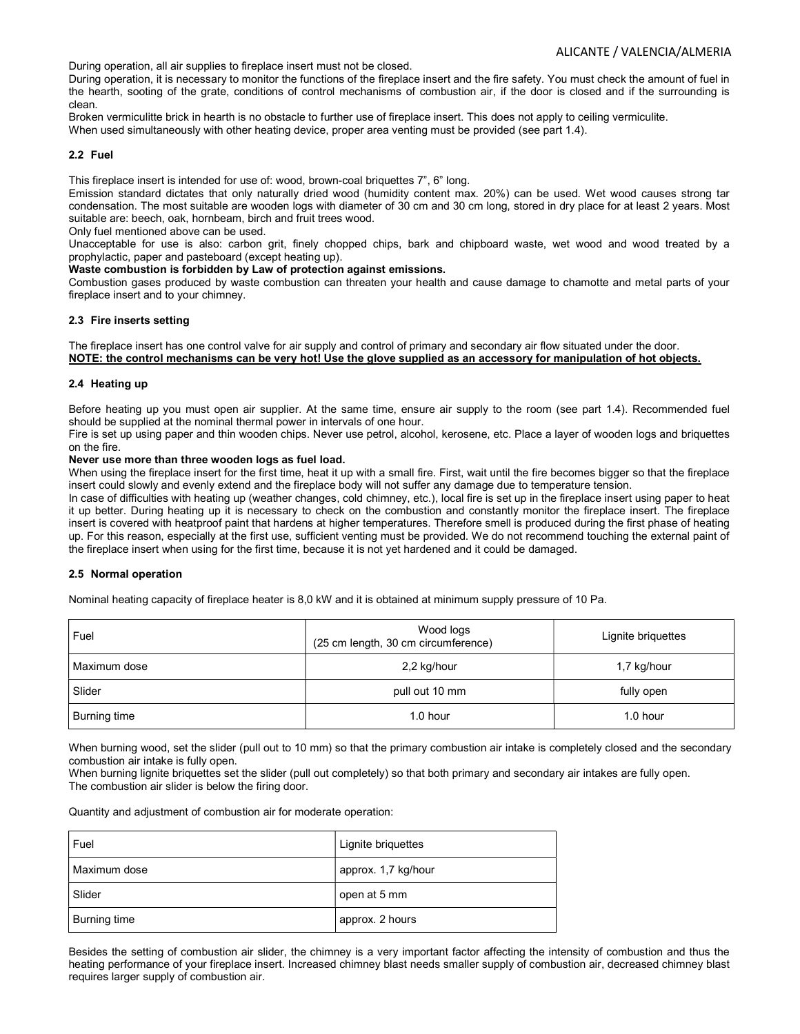During operation, all air supplies to fireplace insert must not be closed.

During operation, it is necessary to monitor the functions of the fireplace insert and the fire safety. You must check the amount of fuel in the hearth, sooting of the grate, conditions of control mechanisms of combustion air, if the door is closed and if the surrounding is clean.

Broken vermiculitte brick in hearth is no obstacle to further use of fireplace insert. This does not apply to ceiling vermiculite.

When used simultaneously with other heating device, proper area venting must be provided (see part 1.4).

## 2.2 Fuel

This fireplace insert is intended for use of: wood, brown-coal briquettes 7", 6" long.

Emission standard dictates that only naturally dried wood (humidity content max. 20%) can be used. Wet wood causes strong tar condensation. The most suitable are wooden logs with diameter of 30 cm and 30 cm long, stored in dry place for at least 2 years. Most suitable are: beech, oak, hornbeam, birch and fruit trees wood.

Only fuel mentioned above can be used.

Unacceptable for use is also: carbon grit, finely chopped chips, bark and chipboard waste, wet wood and wood treated by a prophylactic, paper and pasteboard (except heating up).

Waste combustion is forbidden by Law of protection against emissions.

Combustion gases produced by waste combustion can threaten your health and cause damage to chamotte and metal parts of your fireplace insert and to your chimney.

## 2.3 Fire inserts setting

The fireplace insert has one control valve for air supply and control of primary and secondary air flow situated under the door. NOTE: the control mechanisms can be very hot! Use the glove supplied as an accessory for manipulation of hot objects.

## 2.4 Heating up

Before heating up you must open air supplier. At the same time, ensure air supply to the room (see part 1.4). Recommended fuel should be supplied at the nominal thermal power in intervals of one hour.

Fire is set up using paper and thin wooden chips. Never use petrol, alcohol, kerosene, etc. Place a layer of wooden logs and briquettes on the fire.

#### Never use more than three wooden logs as fuel load.

When using the fireplace insert for the first time, heat it up with a small fire. First, wait until the fire becomes bigger so that the fireplace insert could slowly and evenly extend and the fireplace body will not suffer any damage due to temperature tension.

In case of difficulties with heating up (weather changes, cold chimney, etc.), local fire is set up in the fireplace insert using paper to heat it up better. During heating up it is necessary to check on the combustion and constantly monitor the fireplace insert. The fireplace insert is covered with heatproof paint that hardens at higher temperatures. Therefore smell is produced during the first phase of heating up. For this reason, especially at the first use, sufficient venting must be provided. We do not recommend touching the external paint of the fireplace insert when using for the first time, because it is not yet hardened and it could be damaged.

## 2.5 Normal operation

Nominal heating capacity of fireplace heater is 8,0 kW and it is obtained at minimum supply pressure of 10 Pa.

| Fuel         | Wood logs<br>(25 cm length, 30 cm circumference) | Lignite briquettes |
|--------------|--------------------------------------------------|--------------------|
| Maximum dose | 2,2 kg/hour                                      | 1,7 kg/hour        |
| Slider       | pull out 10 mm                                   | fully open         |
| Burning time | $1.0$ hour                                       | $1.0$ hour         |

When burning wood, set the slider (pull out to 10 mm) so that the primary combustion air intake is completely closed and the secondary combustion air intake is fully open.

When burning lignite briquettes set the slider (pull out completely) so that both primary and secondary air intakes are fully open. The combustion air slider is below the firing door.

Quantity and adjustment of combustion air for moderate operation:

| Fuel                | Lignite briquettes  |
|---------------------|---------------------|
| Maximum dose        | approx. 1,7 kg/hour |
| Slider              | open at 5 mm        |
| <b>Burning time</b> | approx. 2 hours     |

Besides the setting of combustion air slider, the chimney is a very important factor affecting the intensity of combustion and thus the heating performance of your fireplace insert. Increased chimney blast needs smaller supply of combustion air, decreased chimney blast requires larger supply of combustion air.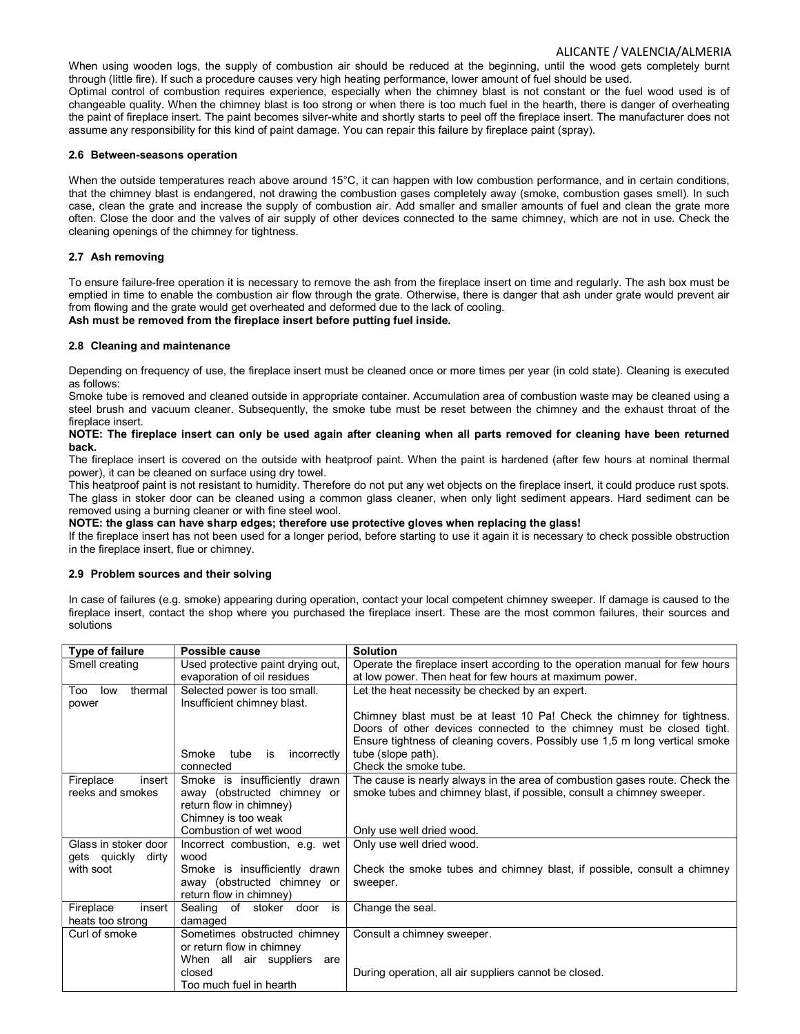When using wooden logs, the supply of combustion air should be reduced at the beginning, until the wood gets completely burnt through (little fire). If such a procedure causes very high heating performance, lower amount of fuel should be used. Optimal control of combustion requires experience, especially when the chimney blast is not constant or the fuel wood used is of changeable quality. When the chimney blast is too strong or when there is too much fuel in the hearth, there is danger of overheating the paint of fireplace insert. The paint becomes silver-white and shortly starts to peel off the fireplace insert. The manufacturer does not assume any responsibility for this kind of paint damage. You can repair this failure by fireplace paint (spray).

#### 2.6 Between-seasons operation

When the outside temperatures reach above around 15°C, it can happen with low combustion performance, and in certain conditions, that the chimney blast is endangered, not drawing the combustion gases completely away (smoke, combustion gases smell). In such case, clean the grate and increase the supply of combustion air. Add smaller and smaller amounts of fuel and clean the grate more often. Close the door and the valves of air supply of other devices connected to the same chimney, which are not in use. Check the cleaning openings of the chimney for tightness.

# 2.7 Ash removing

To ensure failure-free operation it is necessary to remove the ash from the fireplace insert on time and regularly. The ash box must be emptied in time to enable the combustion air flow through the grate. Otherwise, there is danger that ash under grate would prevent air from flowing and the grate would get overheated and deformed due to the lack of cooling. Ash must be removed from the fireplace insert before putting fuel inside.

# 2.8 Cleaning and maintenance

Depending on frequency of use, the fireplace insert must be cleaned once or more times per year (in cold state). Cleaning is executed as follows:

Smoke tube is removed and cleaned outside in appropriate container. Accumulation area of combustion waste may be cleaned using a steel brush and vacuum cleaner. Subsequently, the smoke tube must be reset between the chimney and the exhaust throat of the fireplace insert.

#### NOTE: The fireplace insert can only be used again after cleaning when all parts removed for cleaning have been returned back.

The fireplace insert is covered on the outside with heatproof paint. When the paint is hardened (after few hours at nominal thermal power), it can be cleaned on surface using dry towel.

This heatproof paint is not resistant to humidity. Therefore do not put any wet objects on the fireplace insert, it could produce rust spots. The glass in stoker door can be cleaned using a common glass cleaner, when only light sediment appears. Hard sediment can be removed using a burning cleaner or with fine steel wool.

NOTE: the glass can have sharp edges; therefore use protective gloves when replacing the glass!

If the fireplace insert has not been used for a longer period, before starting to use it again it is necessary to check possible obstruction in the fireplace insert, flue or chimney.

## 2.9 Problem sources and their solving

In case of failures (e.g. smoke) appearing during operation, contact your local competent chimney sweeper. If damage is caused to the fireplace insert, contact the shop where you purchased the fireplace insert. These are the most common failures, their sources and solutions

| <b>Type of failure</b> | Possible cause                    | <b>Solution</b>                                                              |
|------------------------|-----------------------------------|------------------------------------------------------------------------------|
| Smell creating         | Used protective paint drying out, | Operate the fireplace insert according to the operation manual for few hours |
|                        | evaporation of oil residues       | at low power. Then heat for few hours at maximum power.                      |
| thermal<br>Too<br>low  | Selected power is too small.      | Let the heat necessity be checked by an expert.                              |
| power                  | Insufficient chimney blast.       |                                                                              |
|                        |                                   | Chimney blast must be at least 10 Pa! Check the chimney for tightness.       |
|                        |                                   | Doors of other devices connected to the chimney must be closed tight.        |
|                        |                                   | Ensure tightness of cleaning covers. Possibly use 1,5 m long vertical smoke  |
|                        | Smoke<br>tube is<br>incorrectly   | tube (slope path).                                                           |
|                        | connected                         | Check the smoke tube.                                                        |
| Fireplace<br>insert    | Smoke is insufficiently drawn     | The cause is nearly always in the area of combustion gases route. Check the  |
| reeks and smokes       | away (obstructed chimney or       | smoke tubes and chimney blast, if possible, consult a chimney sweeper.       |
|                        | return flow in chimney)           |                                                                              |
|                        | Chimney is too weak               |                                                                              |
|                        | Combustion of wet wood            | Only use well dried wood.                                                    |
| Glass in stoker door   | Incorrect combustion, e.g. wet    | Only use well dried wood.                                                    |
| gets quickly<br>dirty  | wood                              |                                                                              |
| with soot              | Smoke is insufficiently drawn     | Check the smoke tubes and chimney blast, if possible, consult a chimney      |
|                        | away (obstructed chimney or       | sweeper.                                                                     |
|                        | return flow in chimney)           |                                                                              |
| Fireplace<br>insert    | Sealing of stoker door<br>is      | Change the seal.                                                             |
| heats too strong       | damaged                           |                                                                              |
| Curl of smoke          | Sometimes obstructed chimney      | Consult a chimney sweeper.                                                   |
|                        | or return flow in chimney         |                                                                              |
|                        | When all air suppliers<br>are     |                                                                              |
|                        | closed                            | During operation, all air suppliers cannot be closed.                        |
|                        | Too much fuel in hearth           |                                                                              |